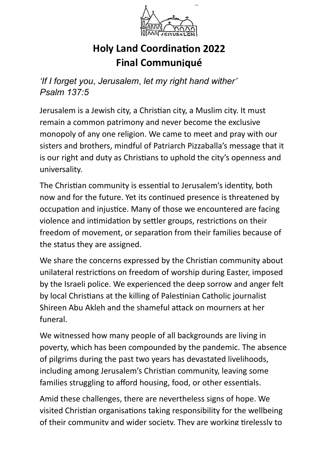

# **Holy Land Coordina Final Communiqué**

*'If I forget you*, *Jerusalem*, *let my right hand wither' Psalm 137:5*

Jerusalem is a Jewish city, a Christian city, a Muslim city. It must remain a common patrimony and never become the exclusive monopoly of any one religion. We came to meet and pray with our sisters and brothers, mindful of Patriarch Pizzaballa's message that it is our right and duty as Christians to uphold the city's openness and universality.

The Christian community is essential to Jerusalem's identity, both now and for the future. Yet its continued presence is threatened by occupation and injustice. Many of those we encountered are facing violence and intimidation by settler groups, restrictions on their freedom of movement, or separation from their families because of the status they are assigned.

We share the concerns expressed by the Christian community about unilateral restrictions on freedom of worship during Easter, imposed by the Israeli police. We experienced the deep sorrow and anger felt by local Christians at the killing of Palestinian Catholic journalist Shireen Abu Akleh and the shameful attack on mourners at her funeral.

We witnessed how many people of all backgrounds are living in poverty, which has been compounded by the pandemic. The absence of pilgrims during the past two years has devastated livelihoods, including among Jerusalem's Christian community, leaving some families struggling to afford housing, food, or other essentials.

Amid these challenges, there are nevertheless signs of hope. We visited Christian organisations taking responsibility for the wellbeing of their community and wider society. They are working tirelessly to